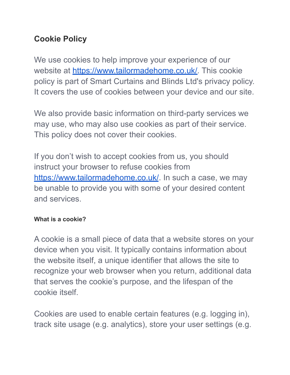## **Cookie Policy**

We use cookies to help improve your experience of our website at [https://www.tailormadehome.co.uk/.](https://www.tailormadehome.co.uk/) This cookie policy is part of Smart Curtains and Blinds Ltd's privacy policy. It covers the use of cookies between your device and our site.

We also provide basic information on third-party services we may use, who may also use cookies as part of their service. This policy does not cover their cookies.

If you don't wish to accept cookies from us, you should instruct your browser to refuse cookies from <https://www.tailormadehome.co.uk/>. In such a case, we may be unable to provide you with some of your desired content and services.

#### **What is a cookie?**

A cookie is a small piece of data that a website stores on your device when you visit. It typically contains information about the website itself, a unique identifier that allows the site to recognize your web browser when you return, additional data that serves the cookie's purpose, and the lifespan of the cookie itself.

Cookies are used to enable certain features (e.g. logging in), track site usage (e.g. analytics), store your user settings (e.g.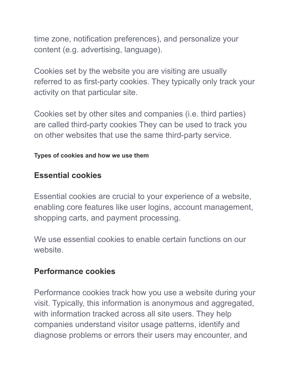time zone, notification preferences), and personalize your content (e.g. advertising, language).

Cookies set by the website you are visiting are usually referred to as first-party cookies. They typically only track your activity on that particular site.

Cookies set by other sites and companies (i.e. third parties) are called third-party cookies They can be used to track you on other websites that use the same third-party service.

#### **Types of cookies and how we use them**

### **Essential cookies**

Essential cookies are crucial to your experience of a website, enabling core features like user logins, account management, shopping carts, and payment processing.

We use essential cookies to enable certain functions on our website.

#### **Performance cookies**

Performance cookies track how you use a website during your visit. Typically, this information is anonymous and aggregated, with information tracked across all site users. They help companies understand visitor usage patterns, identify and diagnose problems or errors their users may encounter, and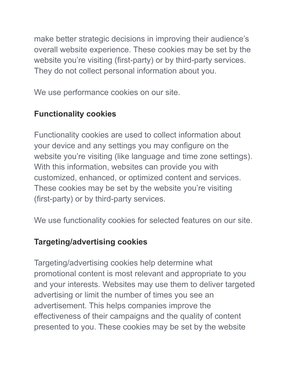make better strategic decisions in improving their audience's overall website experience. These cookies may be set by the website you're visiting (first-party) or by third-party services. They do not collect personal information about you.

We use performance cookies on our site.

# **Functionality cookies**

Functionality cookies are used to collect information about your device and any settings you may configure on the website you're visiting (like language and time zone settings). With this information, websites can provide you with customized, enhanced, or optimized content and services. These cookies may be set by the website you're visiting (first-party) or by third-party services.

We use functionality cookies for selected features on our site.

### **Targeting/advertising cookies**

Targeting/advertising cookies help determine what promotional content is most relevant and appropriate to you and your interests. Websites may use them to deliver targeted advertising or limit the number of times you see an advertisement. This helps companies improve the effectiveness of their campaigns and the quality of content presented to you. These cookies may be set by the website